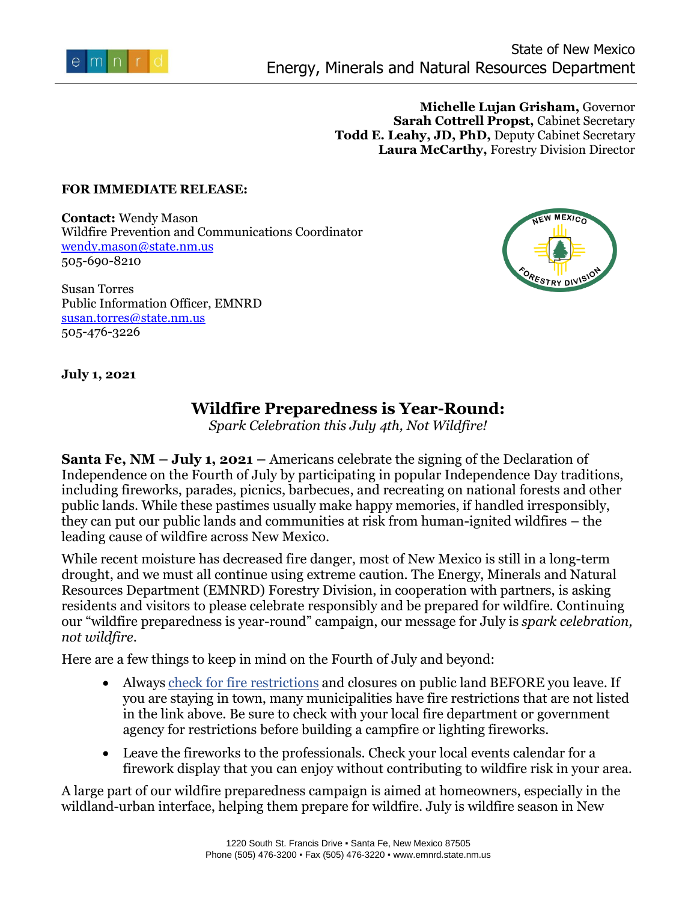

**Michelle Lujan Grisham,** Governor **Sarah Cottrell Propst,** Cabinet Secretary **Todd E. Leahy, JD, PhD,** Deputy Cabinet Secretary **Laura McCarthy,** Forestry Division Director

## **FOR IMMEDIATE RELEASE:**

**Contact:** Wendy Mason Wildfire Prevention and Communications Coordinator [wendy.mason@state.nm.us](mailto:wendy.mason@state.nm.us) 505-690-8210

Susan Torres Public Information Officer, EMNRD [susan.torres@state.nm.us](mailto:susan.torres@state.nm.us) 505-476-3226



**July 1, 2021** 

## **Wildfire Preparedness is Year-Round:**

*Spark Celebration this July 4th, Not Wildfire!*

**Santa Fe, NM – July 1, 2021 –** Americans celebrate the signing of the Declaration of Independence on the Fourth of July by participating in popular Independence Day traditions, including fireworks, parades, picnics, barbecues, and recreating on national forests and other public lands. While these pastimes usually make happy memories, if handled irresponsibly, they can put our public lands and communities at risk from human-ignited wildfires – the leading cause of wildfire across New Mexico.

While recent moisture has decreased fire danger, most of New Mexico is still in a long-term drought, and we must all continue using extreme caution. The Energy, Minerals and Natural Resources Department (EMNRD) Forestry Division, in cooperation with partners, is asking residents and visitors to please celebrate responsibly and be prepared for wildfire. Continuing our "wildfire preparedness is year-round" campaign, our message for July is *spark celebration, not wildfire*.

Here are a few things to keep in mind on the Fourth of July and beyond:

- Always [check for fire restrictions](https://nmfireinfo.com/fire-restrictions/) and closures on public land BEFORE you leave. If you are staying in town, many municipalities have fire restrictions that are not listed in the link above. Be sure to check with your local fire department or government agency for restrictions before building a campfire or lighting fireworks.
- Leave the fireworks to the professionals. Check your local events calendar for a firework display that you can enjoy without contributing to wildfire risk in your area.

A large part of our wildfire preparedness campaign is aimed at homeowners, especially in the wildland-urban interface, helping them prepare for wildfire. July is wildfire season in New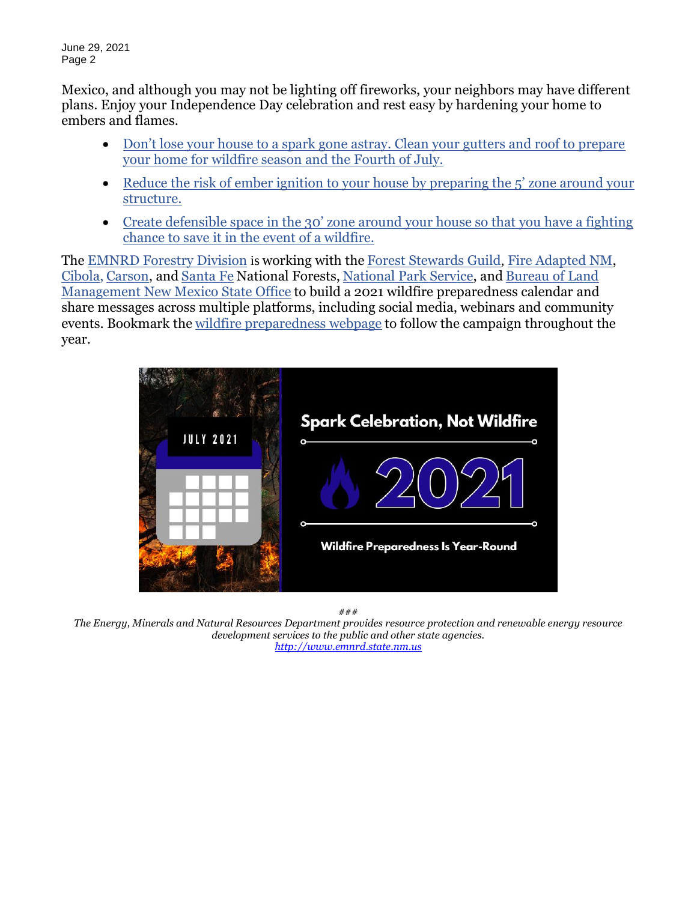June 29, 2021 Page 2

Mexico, and although you may not be lighting off fireworks, your neighbors may have different plans. Enjoy your Independence Day celebration and rest easy by hardening your home to embers and flames.

- Don't lose your house to a spark gone astray. Clean your gutters and roof to prepare [your home for wildfire season and the Fourth of July.](https://www.nfpa.org/-/media/Files/Firewise/Fact-sheets/FirewiseFactSheetsRoofingMaterials.ashx)
- Reduce the risk of ember ignition to your house by preparing the 5' zone around your [structure.](https://www.nfpa.org/-/media/Files/Firewise/Fact-sheets/FirewiseFactSheetsImmediateNoncombustibleZone.pdf)
- Create defensible space in the 30' zone around your house so that you have a fighting chance to save it in [the event of a wildfire.](https://static1.squarespace.com/static/5a54f5a7f09ca43eb4829c08/t/6058c9e41f78f238d04f868f/1616431589130/ReducingWildfireRisksHIZ.pdf)

The [EMNRD Forestry Division](https://gcc02.safelinks.protection.outlook.com/?url=http%3A%2F%2Fwww.emnrd.state.nm.us%2FSFD%2F&data=04%7C01%7C%7Cc8dd9cc8eabd4358060008d8feb03990%7Ced5b36e701ee4ebc867ee03cfa0d4697%7C0%7C0%7C637539380143258747%7CUnknown%7CTWFpbGZsb3d8eyJWIjoiMC4wLjAwMDAiLCJQIjoiV2luMzIiLCJBTiI6Ik1haWwiLCJXVCI6Mn0%3D%7C1000&sdata=izo5HyW9nBQB27dxbnZ6gdC6AdlE09JqFBPfUb5Y31A%3D&reserved=0) is working with the [Forest Stewards Guild](https://gcc02.safelinks.protection.outlook.com/?url=https%3A%2F%2Fforeststewardsguild.org%2F&data=04%7C01%7C%7Cc8dd9cc8eabd4358060008d8feb03990%7Ced5b36e701ee4ebc867ee03cfa0d4697%7C0%7C0%7C637539380143258747%7CUnknown%7CTWFpbGZsb3d8eyJWIjoiMC4wLjAwMDAiLCJQIjoiV2luMzIiLCJBTiI6Ik1haWwiLCJXVCI6Mn0%3D%7C1000&sdata=OUMjYjdBabIoi3UZuwr7%2BMBX%2BR6oB6AYLrUrrBt4eqg%3D&reserved=0), [Fire Adapted NM,](https://facnm.org/) [Cibola,](https://www.fs.usda.gov/cibola) [Carson,](https://www.fs.usda.gov/carson) and [Santa Fe](https://gcc02.safelinks.protection.outlook.com/?url=https%3A%2F%2Fwww.fs.usda.gov%2Fsantafe%2F&data=04%7C01%7C%7Cc8dd9cc8eabd4358060008d8feb03990%7Ced5b36e701ee4ebc867ee03cfa0d4697%7C0%7C0%7C637539380143248790%7CUnknown%7CTWFpbGZsb3d8eyJWIjoiMC4wLjAwMDAiLCJQIjoiV2luMzIiLCJBTiI6Ik1haWwiLCJXVCI6Mn0%3D%7C1000&sdata=rFmvi85HTXjofJvrmwNACLGLn6FubkU9bbr9SDRJHAY%3D&reserved=0) National Forests, [National Park Service,](https://www.nps.gov/state/nm/index.htm) and [Bureau of Land](https://gcc02.safelinks.protection.outlook.com/?url=https%3A%2F%2Fwww.blm.gov%2Fnew-mexico&data=04%7C01%7C%7Cc8dd9cc8eabd4358060008d8feb03990%7Ced5b36e701ee4ebc867ee03cfa0d4697%7C0%7C0%7C637539380143268704%7CUnknown%7CTWFpbGZsb3d8eyJWIjoiMC4wLjAwMDAiLCJQIjoiV2luMzIiLCJBTiI6Ik1haWwiLCJXVCI6Mn0%3D%7C1000&sdata=vYT%2B8w9heeMlkn45IsTNRlP%2B%2F6i9OzuoQpmNyLeeX%2B4%3D&reserved=0)  [Management New Mexico State Office](https://gcc02.safelinks.protection.outlook.com/?url=https%3A%2F%2Fwww.blm.gov%2Fnew-mexico&data=04%7C01%7C%7Cc8dd9cc8eabd4358060008d8feb03990%7Ced5b36e701ee4ebc867ee03cfa0d4697%7C0%7C0%7C637539380143268704%7CUnknown%7CTWFpbGZsb3d8eyJWIjoiMC4wLjAwMDAiLCJQIjoiV2luMzIiLCJBTiI6Ik1haWwiLCJXVCI6Mn0%3D%7C1000&sdata=vYT%2B8w9heeMlkn45IsTNRlP%2B%2F6i9OzuoQpmNyLeeX%2B4%3D&reserved=0) to build a 2021 wildfire preparedness calendar and share messages across multiple platforms, including social media, webinars and community events. Bookmark the [wildfire preparedness webpage](https://facnm.org/wildfire-preparedness) to follow the campaign throughout the year.      



*###*

*The Energy, Minerals and Natural Resources Department provides resource protection and renewable energy resource development services to the public and other state agencies. [http://www.emnrd.state.nm.us](http://www.emnrd.state.nm.us/)*